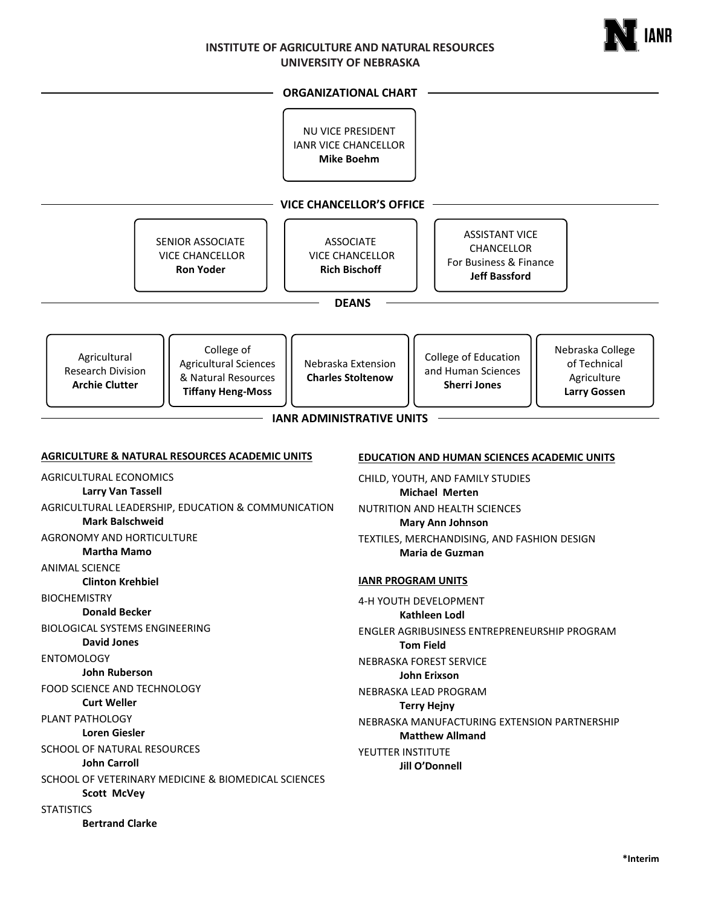

#### **ORGANIZATIONAL CHART**

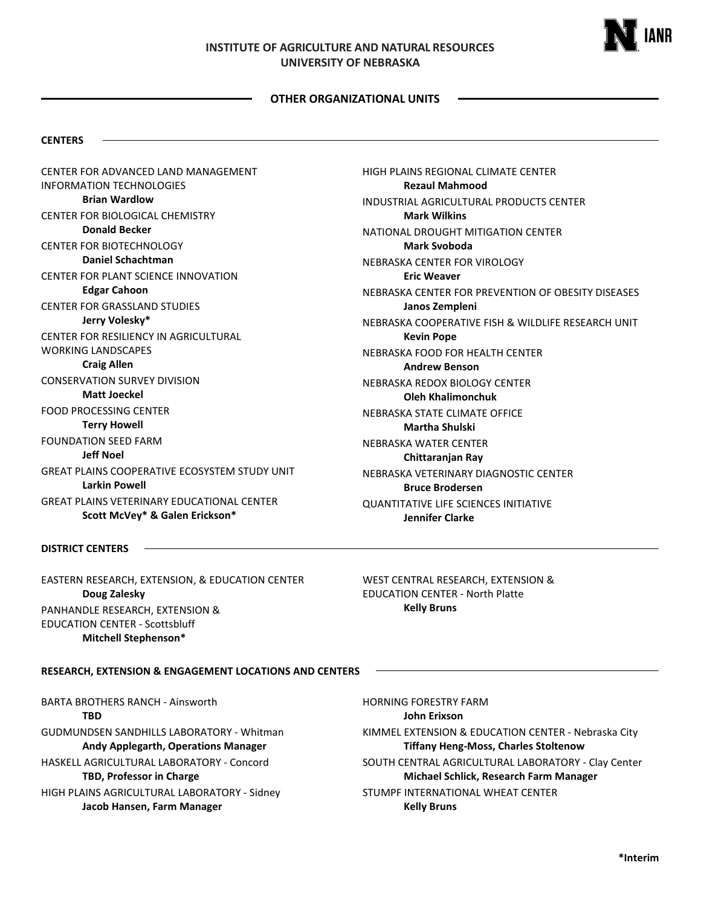

#### **OTHER ORGANIZATIONAL UNITS**

#### **CENTERS**

CENTER FOR ADVANCED LAND MANAGEMENT INFORMATION TECHNOLOGIES **Brian Wardlow** CENTER FOR BIOLOGICAL CHEMISTRY **Donald Becker** CENTER FOR BIOTECHNOLOGY **Daniel Schachtman** CENTER FOR PLANT SCIENCE INNOVATION **Edgar Cahoon** CENTER FOR GRASSLAND STUDIES **Jerry Volesky\*** CENTER FOR RESILIENCY IN AGRICULTURAL WORKING LANDSCAPES **Craig Allen** CONSERVATION SURVEY DIVISION **Matt Joeckel** FOOD PROCESSING CENTER **Terry Howell** FOUNDATION SEED FARM **Jeff Noel** GREAT PLAINS COOPERATIVE ECOSYSTEM STUDY UNIT **Larkin Powell** GREAT PLAINS VETERINARY EDUCATIONAL CENTER **Scott McVey\* & Galen Erickson\***

HIGH PLAINS REGIONAL CLIMATE CENTER **Rezaul Mahmood** INDUSTRIAL AGRICULTURAL PRODUCTS CENTER **Mark Wilkins** NATIONAL DROUGHT MITIGATION CENTER **Mark Svoboda** NEBRASKA CENTER FOR VIROLOGY **Eric Weaver** NEBRASKA CENTER FOR PREVENTION OF OBESITY DISEASES **Janos Zempleni** NEBRASKA COOPERATIVE FISH & WILDLIFE RESEARCH UNIT **Kevin Pope** NEBRASKA FOOD FOR HEALTH CENTER **Andrew Benson** NEBRASKA REDOX BIOLOGY CENTER **Oleh Khalimonchuk** NEBRASKA STATE CLIMATE OFFICE **Martha Shulski** NEBRASKA WATER CENTER **Chittaranjan Ray** NEBRASKA VETERINARY DIAGNOSTIC CENTER **Bruce Brodersen** QUANTITATIVE LIFE SCIENCES INITIATIVE **Jennifer Clarke**

#### **DISTRICT CENTERS**

EASTERN RESEARCH, EXTENSION, & EDUCATION CENTER **Doug Zalesky** PANHANDLE RESEARCH, EXTENSION & EDUCATION CENTER - Scottsbluff **Mitchell Stephenson\***

WEST CENTRAL RESEARCH, EXTENSION & EDUCATION CENTER - North Platte **Kelly Bruns**

**RESEARCH, EXTENSION & ENGAGEMENT LOCATIONS AND CENTERS**

BARTA BROTHERS RANCH - Ainsworth **TBD** GUDMUNDSEN SANDHILLS LABORATORY - Whitman **Andy Applegarth, Operations Manager** HASKELL AGRICULTURAL LABORATORY - Concord **TBD, Professor in Charge** HIGH PLAINS AGRICULTURAL LABORATORY - Sidney

**Jacob Hansen, Farm Manager**

HORNING FORESTRY FARM **John Erixson** KIMMEL EXTENSION & EDUCATION CENTER - Nebraska City **Tiffany Heng-Moss, Charles Stoltenow** SOUTH CENTRAL AGRICULTURAL LABORATORY - Clay Center **Michael Schlick, Research Farm Manager** STUMPF INTERNATIONAL WHEAT CENTER **Kelly Bruns**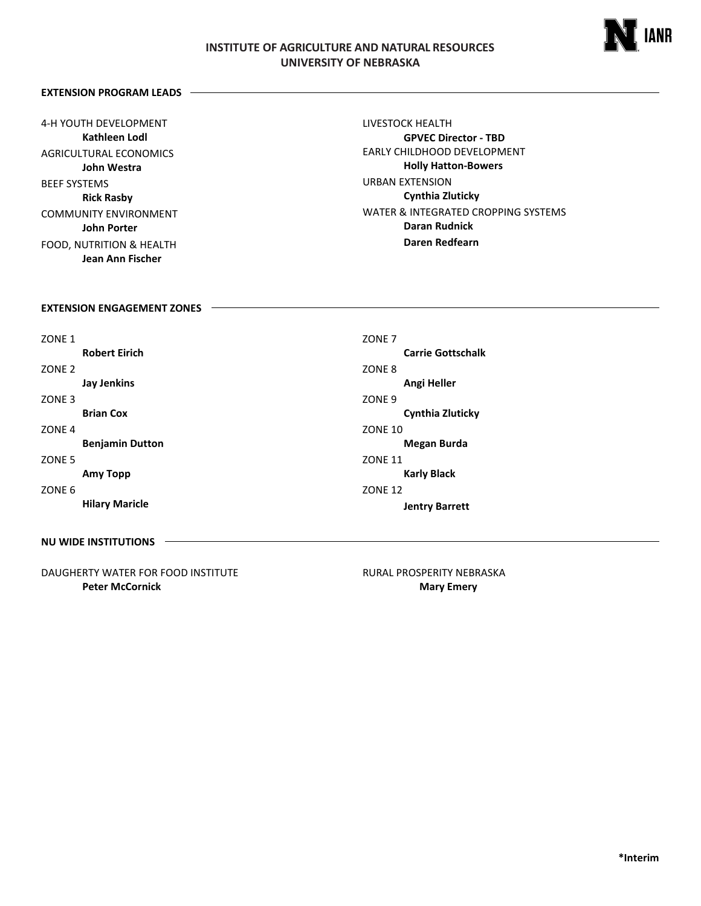

### **EXTENSION PROGRAM LEADS**

4-H YOUTH DEVELOPMENT **Kathleen Lodl** AGRICULTURAL ECONOMICS **John Westra** BEEF SYSTEMS **Rick Rasby** COMMUNITY ENVIRONMENT **John Porter** FOOD, NUTRITION & HEALTH **Jean Ann Fischer**

LIVESTOCK HEALTH **GPVEC Director - TBD** EARLY CHILDHOOD DEVELOPMENT **Holly Hatton-Bowers** URBAN EXTENSION **Cynthia Zluticky** WATER & INTEGRATED CROPPING SYSTEMS **Daran Rudnick Daren Redfearn**

### **EXTENSION ENGAGEMENT ZONES**

| ZONE <sub>1</sub> |                        | ZONE <sub>7</sub>        |
|-------------------|------------------------|--------------------------|
|                   | <b>Robert Eirich</b>   | <b>Carrie Gottschalk</b> |
| ZONE <sub>2</sub> |                        | ZONE 8                   |
|                   | <b>Jay Jenkins</b>     | Angi Heller              |
| ZONE <sub>3</sub> |                        | ZONE <sub>9</sub>        |
|                   | <b>Brian Cox</b>       | <b>Cynthia Zluticky</b>  |
| ZONE <sub>4</sub> |                        | <b>ZONE 10</b>           |
|                   | <b>Benjamin Dutton</b> | <b>Megan Burda</b>       |
| ZONE <sub>5</sub> |                        | <b>ZONE 11</b>           |
|                   | Amy Topp               | <b>Karly Black</b>       |
| ZONE <sub>6</sub> |                        | <b>ZONE 12</b>           |
|                   | <b>Hilary Maricle</b>  | <b>Jentry Barrett</b>    |
|                   |                        |                          |

**NU WIDE INSTITUTIONS**

DAUGHERTY WATER FOR FOOD INSTITUTE **Peter McCornick**

RURAL PROSPERITY NEBRASKA  **Mary Emery**